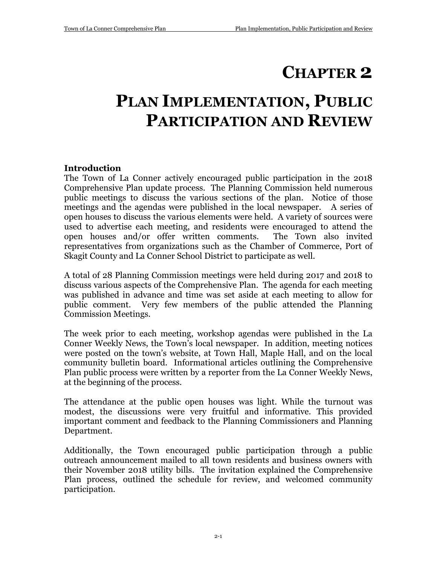# **CHAPTER 2**

# **PLAN IMPLEMENTATION, PUBLIC PARTICIPATION AND REVIEW**

### **Introduction**

The Town of La Conner actively encouraged public participation in the 2018 Comprehensive Plan update process. The Planning Commission held numerous public meetings to discuss the various sections of the plan. Notice of those meetings and the agendas were published in the local newspaper. A series of open houses to discuss the various elements were held. A variety of sources were used to advertise each meeting, and residents were encouraged to attend the open houses and/or offer written comments. The Town also invited representatives from organizations such as the Chamber of Commerce, Port of Skagit County and La Conner School District to participate as well.

A total of 28 Planning Commission meetings were held during 2017 and 2018 to discuss various aspects of the Comprehensive Plan. The agenda for each meeting was published in advance and time was set aside at each meeting to allow for public comment. Very few members of the public attended the Planning Commission Meetings.

The week prior to each meeting, workshop agendas were published in the La Conner Weekly News, the Town's local newspaper. In addition, meeting notices were posted on the town's website, at Town Hall, Maple Hall, and on the local community bulletin board. Informational articles outlining the Comprehensive Plan public process were written by a reporter from the La Conner Weekly News, at the beginning of the process.

The attendance at the public open houses was light. While the turnout was modest, the discussions were very fruitful and informative. This provided important comment and feedback to the Planning Commissioners and Planning Department.

Additionally, the Town encouraged public participation through a public outreach announcement mailed to all town residents and business owners with their November 2018 utility bills. The invitation explained the Comprehensive Plan process, outlined the schedule for review, and welcomed community participation.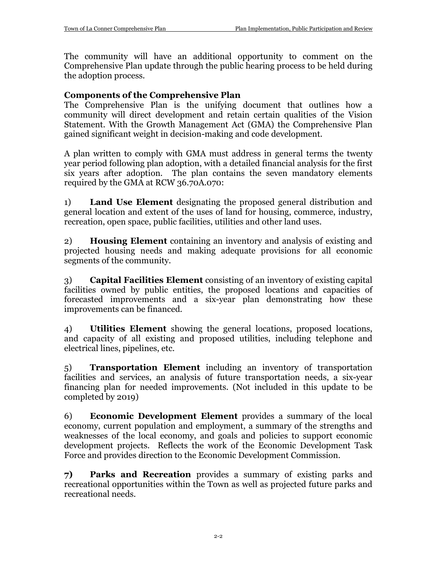The community will have an additional opportunity to comment on the Comprehensive Plan update through the public hearing process to be held during the adoption process.

### **Components of the Comprehensive Plan**

The Comprehensive Plan is the unifying document that outlines how a community will direct development and retain certain qualities of the Vision Statement. With the Growth Management Act (GMA) the Comprehensive Plan gained significant weight in decision-making and code development.

A plan written to comply with GMA must address in general terms the twenty year period following plan adoption, with a detailed financial analysis for the first six years after adoption. The plan contains the seven mandatory elements required by the GMA at RCW 36.70A.070:

1) **Land Use Element** designating the proposed general distribution and general location and extent of the uses of land for housing, commerce, industry, recreation, open space, public facilities, utilities and other land uses.

2) **Housing Element** containing an inventory and analysis of existing and projected housing needs and making adequate provisions for all economic segments of the community.

3) **Capital Facilities Element** consisting of an inventory of existing capital facilities owned by public entities, the proposed locations and capacities of forecasted improvements and a six-year plan demonstrating how these improvements can be financed.

4) **Utilities Element** showing the general locations, proposed locations, and capacity of all existing and proposed utilities, including telephone and electrical lines, pipelines, etc.

5) **Transportation Element** including an inventory of transportation facilities and services, an analysis of future transportation needs, a six-year financing plan for needed improvements. (Not included in this update to be completed by 2019)

6) **Economic Development Element** provides a summary of the local economy, current population and employment, a summary of the strengths and weaknesses of the local economy, and goals and policies to support economic development projects. Reflects the work of the Economic Development Task Force and provides direction to the Economic Development Commission.

**7) Parks and Recreation** provides a summary of existing parks and recreational opportunities within the Town as well as projected future parks and recreational needs.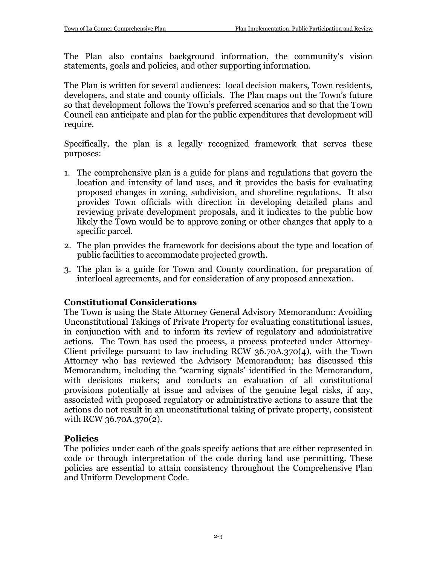The Plan also contains background information, the community's vision statements, goals and policies, and other supporting information.

The Plan is written for several audiences: local decision makers, Town residents, developers, and state and county officials. The Plan maps out the Town's future so that development follows the Town's preferred scenarios and so that the Town Council can anticipate and plan for the public expenditures that development will require.

Specifically, the plan is a legally recognized framework that serves these purposes:

- 1. The comprehensive plan is a guide for plans and regulations that govern the location and intensity of land uses, and it provides the basis for evaluating proposed changes in zoning, subdivision, and shoreline regulations. It also provides Town officials with direction in developing detailed plans and reviewing private development proposals, and it indicates to the public how likely the Town would be to approve zoning or other changes that apply to a specific parcel.
- 2. The plan provides the framework for decisions about the type and location of public facilities to accommodate projected growth.
- 3. The plan is a guide for Town and County coordination, for preparation of interlocal agreements, and for consideration of any proposed annexation.

## **Constitutional Considerations**

The Town is using the State Attorney General Advisory Memorandum: Avoiding Unconstitutional Takings of Private Property for evaluating constitutional issues, in conjunction with and to inform its review of regulatory and administrative actions. The Town has used the process, a process protected under Attorney-Client privilege pursuant to law including RCW  $36.70A.370(4)$ , with the Town Attorney who has reviewed the Advisory Memorandum; has discussed this Memorandum, including the "warning signals' identified in the Memorandum, with decisions makers; and conducts an evaluation of all constitutional provisions potentially at issue and advises of the genuine legal risks, if any, associated with proposed regulatory or administrative actions to assure that the actions do not result in an unconstitutional taking of private property, consistent with RCW 36.70A.370(2).

### **Policies**

The policies under each of the goals specify actions that are either represented in code or through interpretation of the code during land use permitting. These policies are essential to attain consistency throughout the Comprehensive Plan and Uniform Development Code.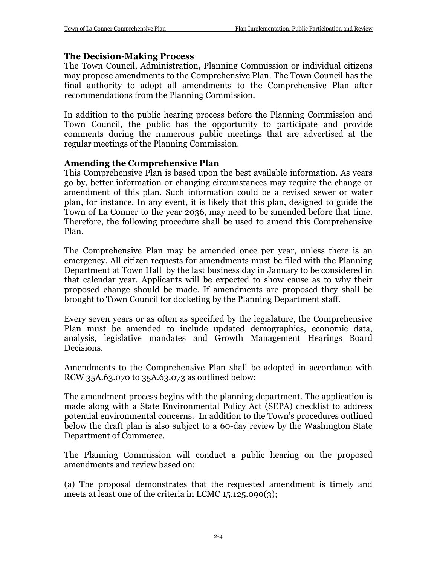### **The Decision-Making Process**

The Town Council, Administration, Planning Commission or individual citizens may propose amendments to the Comprehensive Plan. The Town Council has the final authority to adopt all amendments to the Comprehensive Plan after recommendations from the Planning Commission.

In addition to the public hearing process before the Planning Commission and Town Council, the public has the opportunity to participate and provide comments during the numerous public meetings that are advertised at the regular meetings of the Planning Commission.

## **Amending the Comprehensive Plan**

This Comprehensive Plan is based upon the best available information. As years go by, better information or changing circumstances may require the change or amendment of this plan. Such information could be a revised sewer or water plan, for instance. In any event, it is likely that this plan, designed to guide the Town of La Conner to the year 2036, may need to be amended before that time. Therefore, the following procedure shall be used to amend this Comprehensive Plan.

The Comprehensive Plan may be amended once per year, unless there is an emergency. All citizen requests for amendments must be filed with the Planning Department at Town Hall by the last business day in January to be considered in that calendar year. Applicants will be expected to show cause as to why their proposed change should be made. If amendments are proposed they shall be brought to Town Council for docketing by the Planning Department staff.

Every seven years or as often as specified by the legislature, the Comprehensive Plan must be amended to include updated demographics, economic data, analysis, legislative mandates and Growth Management Hearings Board Decisions.

Amendments to the Comprehensive Plan shall be adopted in accordance with RCW 35A.63.070 to 35A.63.073 as outlined below:

The amendment process begins with the planning department. The application is made along with a State Environmental Policy Act (SEPA) checklist to address potential environmental concerns. In addition to the Town's procedures outlined below the draft plan is also subject to a 60-day review by the Washington State Department of Commerce.

The Planning Commission will conduct a public hearing on the proposed amendments and review based on:

(a) The proposal demonstrates that the requested amendment is timely and meets at least one of the criteria in LCMC 15.125.090(3);